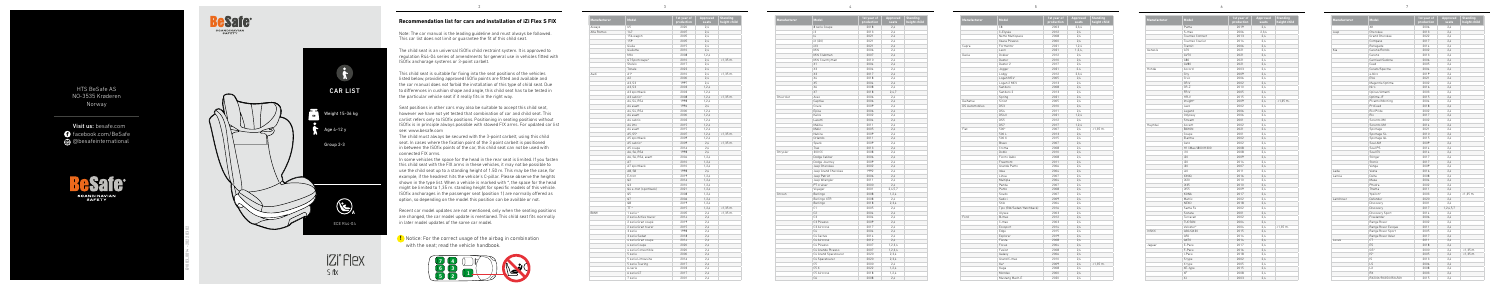**Recommendation list for cars and installation of iZi Flex S FIX**

**!** Notice: For the correct usage of the airbag in combination with the seat; read the vehicle handbook.









HTS BeSafe AS NO-3535 Krøderen Norway

Visit us: besafe.com **facebook.com/BeSafe** @besafeinternational

> **eSafe®** SCANDINAVIAN<br>SAFETY

2



| Manufacturer | Model                       | 1st year of<br>production | Approved<br>seats | <b>Standing</b><br>height child |
|--------------|-----------------------------|---------------------------|-------------------|---------------------------------|
| Aiways       | U <sub>5</sub>              | 2020                      | 2.4               |                                 |
| Alfa Romeo   | 147                         | 2007                      | 2,4               |                                 |
|              | 156 wagon                   | 2005                      | 2,4               |                                 |
|              | 159                         | 2005                      | 2,4               |                                 |
|              | Giulia                      | 2015                      | 2.4               |                                 |
|              | Giulietta                   | 2010                      | 2.4               |                                 |
|              | Mito                        | 2008                      | 1,2,4             |                                 |
|              | GT Sportcoupe*              | 2010                      | 2,4               | $< 1.35$ m.                     |
|              | Stelvio                     | 2017                      | 2,4               |                                 |
|              | Tonale                      | 2022                      | 2.4               |                                 |
| Audi         | $A1$ <sup>*</sup>           | 2010                      | 2,4               | $<1,35$ m.                      |
|              | A2                          | 2000                      | 2,4               |                                 |
|              | A3, S3                      | 1997                      | 2.4               |                                 |
|              | A3. S3                      | 2003                      | 1.2.4             |                                 |
|              | A3 sportback                | 2003                      | 1,2,4             |                                 |
|              | A3 cabrio*                  | 2008                      | 1,2,4             | $<1,35$ m.                      |
|              | A4, S4, RS4                 | 1998                      | 1,2,4             |                                 |
|              | A4 avant                    | 1996                      | 2,4               |                                 |
|              | A4, S4, RS4                 | 2000                      | 1,2,4             |                                 |
|              | A4 avant                    | 2000                      | 1, 2, 4           |                                 |
|              | A4 cabrio                   | 2002                      | 1,2,4             |                                 |
|              | A4 imo                      | 2015                      | 1,2,4             |                                 |
|              | A4 avant                    | 2015                      | 1,2,4             |                                 |
|              | A5. S5*                     | 2007                      | 1,2,4             | $<1,35$ m.                      |
|              | A5 sportback                | 2009                      | 1,2,4             |                                 |
|              | A5 cabrio*                  | 2009                      | 2,4               | $<1,35$ m.                      |
|              | A5 coupe                    | 2016                      | 2,4               |                                 |
|              | A6, S6, RS6                 | 1998                      | 2,4               |                                 |
|              | A6, S6, RS6, avant          | 2004                      | 1,2,4             |                                 |
|              | A7                          | 2010                      | 1,2,4             |                                 |
|              | A7 sportback                | 2010                      | 1,2,4             |                                 |
|              | A8, S8                      | 1998                      | 2,4               |                                 |
|              | E-tron                      | 2019                      | 1,2,4             |                                 |
|              | Q2                          | 2016                      | 1,2,4             |                                 |
|              |                             |                           |                   |                                 |
|              | Q3                          | 2010                      | 1, 2, 4           |                                 |
|              | Q4 e-tron (sportback)<br>Q5 | 2021<br>2008              | 1, 2, 4           |                                 |
|              | Q7                          | 2006                      | 1,2,4<br>1,2,4    |                                 |
|              | Q8                          | 2019                      |                   |                                 |
|              | TT*                         |                           | 1, 2, 4           |                                 |
|              |                             | 2015                      | 1,2,4             | $< 1,35$ m.                     |
| <b>BMW</b>   | 1 serie *                   | 2005                      | 2.4               | $< 1,35$ m.                     |
|              | 2 serie Active tourer       | 2014                      | 2.4               |                                 |
|              | 2 serie Gran coupé          | 2019                      | 2,4               |                                 |
|              | 2 serie Gran tourer         | 2015                      | 2,4               |                                 |
|              | 3 serie                     | 1998                      | 2,4               |                                 |
|              | 3 serie Sedan               | 2018                      | 2,4               |                                 |
|              | 4 serie Gran coupe          | 2014                      | 2,4               |                                 |
|              | 4 serie Coupe               | 2020                      | 2,4               |                                 |
|              | 4 serie Convertible         | 2020                      | 2,4               |                                 |
|              | 5 serie                     | 2000                      | 2.4               |                                 |
|              | 5 serie Limousine           | 2016                      | 2,4               |                                 |
|              | 5 serie Touring             | 2017                      | 2,4               |                                 |
|              | 6-serie                     | 2003                      | 2,4               |                                 |
|              | 6 serie GT                  | 2017                      | 2,4               |                                 |
|              | 7 serie                     | 2001                      | 2,4               |                                 |

| Manufacturer | Model                | 1st year of<br>production | Approved<br>seats | <b>Standing</b><br>height child |
|--------------|----------------------|---------------------------|-------------------|---------------------------------|
|              | 8 serie Coupe        | 2018                      | 2,4               |                                 |
|              | i3                   | 2013                      | 2,4               |                                 |
|              | $\overline{14}$      | 2021                      | 2.4               |                                 |
|              | iX (i20)             | 2021                      | 2,4               |                                 |
|              | iX3                  | 2021                      | 2,4               |                                 |
|              | Mini                 | 2006                      | 2,4               |                                 |
|              | Mini Clubman         | 2007                      | 2,4               |                                 |
|              | Mini Countryman      | 2010                      | 2,4               |                                 |
|              | X1                   | 2004                      | 2.4               |                                 |
|              | X3                   | 2004                      | 2.4               |                                 |
|              | X3                   | 2017                      | 2,4               |                                 |
|              | X4                   | 2018                      | 2,4               |                                 |
|              | X5                   | 2004                      | 2.4               |                                 |
|              | X6                   | 2008                      | 2,4               |                                 |
|              | X7                   | 2018                      | 2,4,7             |                                 |
| Chevrolet    | Aveo                 | 2006                      | 2,4               |                                 |
|              | Captiva              | 2006                      | 2,4               |                                 |
|              | Cruze                | 2009                      | 2,4               |                                 |
|              | Epica                | 2006                      | 2.4               |                                 |
|              | Kalos                | 2002                      | 2,4               |                                 |
|              | Lacetti              | 2004                      | 2,4               |                                 |
|              | Malibu               | 2011                      | 2,4               |                                 |
|              | Matiz                | 2005                      | 2,4               |                                 |
|              | Nubira               | 2009                      | 2.4               |                                 |
|              | Orlando              | 2011                      | 2.4               |                                 |
|              |                      |                           |                   |                                 |
|              | Spark                | 2009                      | 2,4               |                                 |
|              | Trax                 | 2013                      | 2,4               |                                 |
| Chrysler     | 300 CC               | 2008                      | 2.4               |                                 |
|              | Dodge Caliber        | 2006                      | 2.4               |                                 |
|              | Dodge Journey        | 2009                      | 2,4               |                                 |
|              | Jeep Cherokee        | 2002                      | 2,4               |                                 |
|              | Jeep Grand Cherokee  | 1992                      | 2,4               |                                 |
|              | Jeep Patriot         | 2006                      | 2,4               |                                 |
|              | Jeep Wrangler        | 2011                      | 2.4               |                                 |
|              | PT cruiser           | 2000                      | 2,4               |                                 |
|              | Voyager              | 2001                      | 2,4,5,7           |                                 |
| Citroen      | Berlingo             | 2008                      | 1,2,4             |                                 |
|              | Berlingo XTR         | 2008                      | 2.4               |                                 |
|              | Berlingo             | 2018                      | 2,3,4             |                                 |
|              | C1                   | 2005                      | 2,4               |                                 |
|              | C2                   | 2004                      | 2,4               |                                 |
|              | C <sub>3</sub>       | 2004                      | 2.4               |                                 |
|              | C3 Picasso           | 2009                      | 2,4               |                                 |
|              | C3 Aircross          | 2017                      | 2,4               |                                 |
|              | C <sub>4</sub>       | 2004                      | 2,4               |                                 |
|              | C4 Cactus            | 2014                      | 2,4               |                                 |
|              | C4 Aircross          | 2012                      | 2,4               |                                 |
|              | C4 Picasso           | 2007                      | 1,2,3,4           |                                 |
|              | C4 Grande Picasso    | 2007                      | 1,2,3,4           |                                 |
|              | C4 Grand Spacetourer | 2020                      | 2,3,4             |                                 |
|              | C4 Spacetourer       | 2020                      | 2,3,4             |                                 |
|              | C <sub>5</sub>       | 2000                      | 2,4               |                                 |
|              | C <sub>5</sub> X     | 2022                      | 1,2,4             |                                 |
|              | C5 Aircross          | 2018                      | 1,2,4             |                                 |
|              | C6                   | 2008                      | 2.4               |                                 |
|              |                      |                           |                   |                                 |

Note: The car manual is the leading guideline and must always be followed. This car list does not limit or guarantee the fit of this child seat.

| Manufacturer          | Model                     | 1st year of<br>production | Approved<br>seats | <b>Standing</b><br>height child |
|-----------------------|---------------------------|---------------------------|-------------------|---------------------------------|
|                       | C8                        | 2003                      | 2.3.4             |                                 |
|                       | C-Elysée                  | 2012                      | 2.4               |                                 |
|                       | Nemo Multispace           | 2008                      | 2.4               |                                 |
|                       | Xsara Picasso             | 2000                      | 2,4               |                                 |
| Cupra                 | Formentor                 | 2021                      | 1.2.4             |                                 |
|                       | Leon                      | 2021                      | 1,2,4             |                                 |
| Dacia                 | Dokker                    | 2012                      | 2.4               |                                 |
|                       | Duster                    | 2010                      | 2.4               |                                 |
|                       | Duster <sub>2</sub>       | 2017                      | 2.4               |                                 |
|                       | Jogger                    | 2021                      | 24                |                                 |
|                       | Lodgy                     | 2012                      | 2,3,4             |                                 |
|                       | Logan MCV                 | 2005                      | 2.4               |                                 |
|                       | Logan 2 MCV               | 2013                      | 2,4               |                                 |
|                       | Sandero                   | 2008                      | 2.4               |                                 |
|                       | Sandero <sub>2</sub>      | 2013                      | 2.4               |                                 |
|                       | Spring                    | 2021                      | 2.4               |                                 |
| Daihatsu              | Sirion                    | 2005                      | 2.4               |                                 |
| <b>DS Automobiles</b> | DS3                       | 2010                      | 2.4               |                                 |
|                       | DS4                       | 2011                      | 2.4               |                                 |
|                       | DS4 II                    | 2021                      | 1.2.4             |                                 |
|                       |                           |                           |                   |                                 |
|                       | DS5                       | 2012                      | 2.4               |                                 |
|                       | DS7                       | 2017                      | 1.2.4             |                                 |
| Fiat                  | 500*                      | 2007                      | 2.4               | $< 1,35$ m.                     |
|                       | 500L                      | 2013                      | 2.4               |                                 |
|                       | 500 X                     | 2015                      | 2,4               |                                 |
|                       | Bravo                     | 2007                      | 2,4               |                                 |
|                       | Croma                     | 2008                      | 2.4               |                                 |
|                       | Doblò                     | 2010                      | 2.4               |                                 |
|                       | Fiorno Qubo               | 2008                      | 2.4               |                                 |
|                       | Freemont                  | 2011                      | 2.4               |                                 |
|                       | Grande Punto              | 2006                      | 2,4               |                                 |
|                       | Idea                      | 2004                      | 2.4               |                                 |
|                       | Linea                     | 2007                      | 2,4               |                                 |
|                       | Multipla                  | 2004                      | 2.4               |                                 |
|                       | Panda                     | 2007                      | 2.4               |                                 |
|                       | Punto                     | 2008                      | 24                |                                 |
|                       | Scudo                     | 2007                      | 2.4               |                                 |
|                       | Sedici                    | 2009                      | 2.4               |                                 |
|                       | Stilo                     | 2004                      | 2,4               |                                 |
|                       | Tipo (SW/Sedan/Hatchback) | 2016                      | 2,4               |                                 |
|                       | Ulysee                    | 2003                      | 2.4               |                                 |
| Ford                  | B-max                     | 2012                      | 2.4               |                                 |
|                       | C-max                     | 2003                      | 2.4               |                                 |
|                       | Ecosport                  | 2014                      | 2,4               |                                 |
|                       | Edge                      | 2015                      | 2,4               |                                 |
|                       | Explorer                  | 2019                      | 2,4               |                                 |
|                       | Fiesta                    | 2008                      | 2.4               |                                 |
|                       | Focus                     | 2004                      | 2.4               |                                 |
|                       | Fusion                    | 2008                      | 2.4               |                                 |
|                       |                           | 2006                      | 2.4               |                                 |
|                       | Galaxy                    | 2010                      | 2.4               |                                 |
|                       | Grand C-max               |                           |                   |                                 |
|                       | Ka*                       | 2009                      | 2,4               | $< 1,35$ m.                     |
|                       | Kuga                      | 2008                      | 2,4               |                                 |
|                       | Mondeo                    | 2000                      | 2.4               |                                 |
|                       | Mustang Mach-E            | 2020                      | 2.4               |                                 |

| Manufacturer | Model             | 1st year of<br>production | Appro<br>sea |
|--------------|-------------------|---------------------------|--------------|
|              | Puma              | 2019                      | 2,4          |
|              | S-max             | 2006                      | 2,3,         |
|              | Tourneo Connect   | 2013                      | 2,4          |
|              | Tourneo Courier   | 2014                      | 2,4          |
|              | Transit           | 2006                      | 2,4          |
| Genesis      | 670               | 2021                      | 2,4          |
|              | GV70              | 2021                      | 2,4          |
|              | G80               | 2021                      | 2,4          |
|              | GV80              | 2021                      | 2,4          |
| Honda        | Accord            | 2003                      | 2,4          |
|              | City              | 2009                      | 2,4          |
|              | Civic             | 2006                      | 2,4          |
|              | CR-V              | 2002                      | 2,4          |
|              | CR-Z              | 2010                      | 2,4          |
|              | FR-V              | 2005                      | 2,4          |
|              | HR-V              | 2015                      | 2,4          |
|              | Insight*          | 2009                      | 2,4          |
|              | Jazz              | 2002                      | 2,4          |
|              | Legend            | 2006                      | 2,4          |
|              | Odyssey           | 2006                      | 2.4          |
|              | Stream            | 2001                      | 2,4          |
| Huyndai      | Accent            | 2002                      | 2,4          |
|              | <b>BAYON</b>      | 2021                      | 2.4          |
|              | Coupe             | 2001                      | 2,4          |
|              | Elantra           | 2002                      | 2,4          |
|              | Getz              | 2002                      | 2,4          |
|              | H1/iMax/i800/H300 | 2008                      | 2,4          |
|              | i10               | 2008                      | 2,4          |
|              | i20               | 2009                      | 2,4          |
|              | i20               | 2014                      | 2,4          |
|              | i30               | 2007                      | 2,4          |
|              | i40               | 2011                      | 2,4          |
|              | <b>IONIQ</b>      | 2016                      | 2,4          |
|              | iX20              | 2010                      | 2,4          |
|              | iX35              | 2010                      | 2,4          |
|              | iX55              | 2009                      | 2,4          |
|              | KONA              | 2017                      | 2,4          |
|              | Matrix            | 2002                      | 2,4          |
|              | NFX0              | 2018                      | 2,4          |
|              | Santa Fe          | 2002                      | 2,4          |
|              | Sonata            | 2001                      | 2,4          |
|              | Terracan          | 2002                      | 2,4          |
|              | TUCSON            | 2004                      | 2,4          |
|              | Veloster*         | 2004                      | 2,4          |
| Infiniti     | Q30/QX30          | 2015                      | 2,4          |
|              | Q50               | 2014                      | 2,4          |
|              | QX70              | 2014                      | 2,4          |
| Jaguar       | E-Pace            | 2017                      | 2,4          |
|              | F-Pace            | 2016                      | 2,4          |
|              | I-Pace            | 2018                      | 2,4          |
|              | S type            | 2002                      | 2,4          |
|              | X type            | 2005                      | 2,4          |
|              | XE-type           | 2015                      | 2,4          |
|              | XF                | 2008                      | 2,4          |
|              | χJ                | 2003                      | 2,4          |

| Model             | 1st year of<br>production | Approved<br>seats | <b>Standing</b><br>height child |
|-------------------|---------------------------|-------------------|---------------------------------|
| Puma              | 2019                      | 2,4               |                                 |
| S-max             | 2006                      | 2,3,4             |                                 |
| Tourneo Connect   | 2013                      | 2,4               |                                 |
| Tourneo Courier   | 2014                      | 2.4               |                                 |
| Transit           | 2006                      | 2,4               |                                 |
| G70               | 2021                      | 2,4               |                                 |
| GV70              | 2021                      | 2,4               |                                 |
| G80               | 2021                      | 2,4               |                                 |
| GV80              | 2021                      | 2,4               |                                 |
| Accord            | 2003                      | 2,4               |                                 |
| City              | 2009                      | 2,4               |                                 |
| Civic             | 2006                      | 2,4               |                                 |
| CR-V              | 2002                      | 2,4               |                                 |
| CR-Z              | 2010                      | 2,4               |                                 |
| FR-V              | 2005                      | 2,4               |                                 |
| HR-V              | 2015                      | 2,4               |                                 |
| Insight*          | 2009                      | 2,4               | $< 1,35$ m.                     |
| Jazz              | 2002                      | 2,4               |                                 |
| Legend            | 2006                      | 2,4               |                                 |
| Odyssey           | 2006                      | 2.4               |                                 |
| Stream            | 2001                      | 2,4               |                                 |
|                   | 2002                      | 2,4               |                                 |
| Accent            |                           |                   |                                 |
| <b>BAYON</b>      | 2021<br>2001              | 2.4<br>2,4        |                                 |
| Coupe             |                           |                   |                                 |
| Elantra           | 2002                      | 2,4               |                                 |
| Getz              | 2002                      | 2,4               |                                 |
| H1/iMax/i800/H300 | 2008                      | 2,4               |                                 |
| i10               | 2008                      | 2,4               |                                 |
| i20               | 2009                      | 2,4               |                                 |
| i20               | 2014                      | 2,4               |                                 |
| i30               | 2007                      | 2,4               |                                 |
| i40               | 2011                      | 2,4               |                                 |
| IONIQ             | 2016                      | 2,4               |                                 |
| iX20              | 2010                      | 2,4               |                                 |
| iX35              | 2010                      | 2,4               |                                 |
| iX55              | 2009                      | 2,4               |                                 |
| KONA              | 2017                      | 2.4               |                                 |
| Matrix            | 2002                      | 2.4               |                                 |
| <b>NEXO</b>       | 2018                      | 2,4               |                                 |
| Santa Fe          | 2002                      | 2,4               |                                 |
| Sonata            | 2001                      | 2,4               |                                 |
| Terracan          | 2002                      | 2,4               |                                 |
| <b>TUCSON</b>     | 2004                      | 2,4               |                                 |
| Veloster*         | 2004                      | 2,4               | $< 1,35$ m.                     |
| Q30/QX30          | 2015                      | 2,4               |                                 |
| Q50               | 2014                      | 2,4               |                                 |
| QX70              | 2014                      | 2,4               |                                 |
| E-Pace            | 2017                      | 2,4               |                                 |
| F-Pace            | 2016                      | 2,4               |                                 |
| I-Pace            | 2018                      | 2,4               |                                 |
| S type            | 2002                      | 2,4               |                                 |
| X type            | 2005                      | 2,4               |                                 |
| XE-type           | 2015                      | 2,4               |                                 |
| XF                | 2008                      | 2,4               |                                 |
|                   |                           |                   |                                 |

3

4

5

6

| Manufacturer | Model                 | 1st year of<br>production | Approved<br>seats | <b>Standing</b><br>height child |
|--------------|-----------------------|---------------------------|-------------------|---------------------------------|
|              | XK                    | 2006                      | 2,4               |                                 |
| Jeep         | Cherokee              | 2013                      | 2,4               |                                 |
|              | <b>Grand Cherokee</b> | 2022                      | 2,4               |                                 |
|              | Compass               | 2017                      | 2.4               |                                 |
|              | Renegade              | 2014                      | 2,4               |                                 |
| Kia          | Carens/Rondo          | 2002                      | 2.4               |                                 |
|              | Carens                | 2013                      | 2.4               |                                 |
|              | Carnival/Sedona       | 2006                      | 2,4               |                                 |
|              | Ceed                  | 2005                      | 2,4               |                                 |
|              | Cerato/Spectra        | 2004                      | 2,4               |                                 |
|              | e-Niro                | 2019                      | 2.4               |                                 |
|              | EV <sub>6</sub>       | 2021                      | 2.4               |                                 |
|              | Magentis/Optima       | 2002                      | 2.4               |                                 |
|              | Niro                  | 2016                      | 2,4               |                                 |
|              | Opirus/Amanti         | 2003                      | 2,4               |                                 |
|              | Optima JF             | 2015                      | 2,4               |                                 |
|              | Picanto/Morning       | 2004                      | 2,4               |                                 |
|              | ProCeed               | 2018                      | 2,4               |                                 |
|              | Rio/Pride             | 2002                      | 2.4               |                                 |
|              | Rio                   | 2017                      | 2.4               |                                 |
|              | Sorento XM            | 2002                      | 2,4               |                                 |
|              | Sorento UM            | 2014                      | 2,4               |                                 |
|              | Sportage              | 2021                      | 2.4               |                                 |
|              | Sportage SL           | 2010                      | 2.4               |                                 |
|              | Sportage QL           | 2015                      | 2,4               |                                 |
|              | Soul AM               | 2009                      | 2.4               |                                 |
|              | Soul PS               | 2014                      | 2,4               |                                 |
|              | Soul EV               | 2014                      | 2,4               |                                 |
|              | Stinger               | 2017                      | 2,4               |                                 |
|              | Stonic                | 2017                      | 2,4               |                                 |
|              | Venga                 | 2009                      | 2.4               |                                 |
| Lada         | Vesta                 | 2016                      | 2.4               |                                 |
| Lancia       | Delta                 | 2008                      | 2,4               |                                 |
|              | Musa                  | 2004                      | 2,4               |                                 |
|              | Phedra                | 2002                      | 2,4               |                                 |
|              | Thema                 | 2011                      | 2,4               |                                 |
|              | Ypsilon*              | 2003                      | 2,4               | $< 1,35$ m.                     |
| Landrover    | Defender              | 2020                      | 2,4               |                                 |
|              | Discovery             | 2001                      | 2.4               |                                 |
|              | Discovery             | 2017                      | 1,2,4,5,7         |                                 |
|              | Discovery Sport       | 2014                      | 2,4               |                                 |
|              | Freelander            | 2006                      | 2,4               |                                 |
|              | Range Rover           | 2002                      | 2.4               |                                 |
|              | Range Rover Evoque    | 2011                      | 2,4               |                                 |
|              | Range Rover Sport     | 2005                      | 2,4               |                                 |
|              | Range Rover Velar     | 2017                      | 2.4               |                                 |
| Lexus        | CT                    | 2011                      | 2,4               |                                 |
|              |                       |                           |                   |                                 |
|              | ES                    | 2018                      | 2,4               |                                 |
|              | GS*                   | 2000                      | 2,4               | $<1,35$ m.                      |
|              | IS*                   | 2005                      | 2,4               | $<$ 1,35 m.                     |
|              | IS                    | 2013                      | 2,4               |                                 |
|              | LS                    | 2006                      | 2.4               |                                 |
|              | LX                    | 2008                      | 2,4               |                                 |
|              | RX                    | 2003                      | 2,4               |                                 |
|              | RX200t/RX350/RX450h   | 2015                      | 2,4               |                                 |



The child seat is an universal ISOfix child restraint system. It is approved to regulation R44-04 series of amendments for general use in vehicles fitted with ISOfix anchorage systems or 3-point carbelt.

This child seat is suitable for fixing into the seat positions of the vehicles listed below, providing approved ISOfix points are fitted and available and the car manual does not forbid the installation of this type of child seat. Due to differences in cushion shape and angle, this child seat has to be tested in the particular vehicle seat if it really fits in the right way.

Seat positions in other cars may also be suitable to accept this child seat, however we have not yet tested that combination of car and child seat. This carlist refers only to ISOfix positions. Positioning in seating positions without ISOfix is in principle always possible with stowed FIX arms. For updated car list see: www.besafe.com

The child must always be secured with the 3-point carbelt, using this child seat. In cases where the fixation point of the 3 point carbelt is positioned in between the ISOfix points of the car, this child seat can not be used with connected FIX arms.

In some vehicles the space for the head in the rear seat is limited. If you fasten this child seat with the FIX arms in these vehicles, it may not be possible to use the child seat up to a standing height of 1.50 m. This may be the case, for example, if the headrest hits the vehicle's C-pillar. Please observe the heights shown in the type list. When a vehicle is marked with \*, the space for the head might be limited to 1,35 m. standing height for specific models of this vehicle. ISOfix anchorages in the passenger seat (position 1) are normally offered as option, so depending on the model this position can be availble or not.

Recent car model updates are not mentioned, only when the seating positions are changed, the car model update is mentioned. This child seat fits normally in later model updates of the same car model.